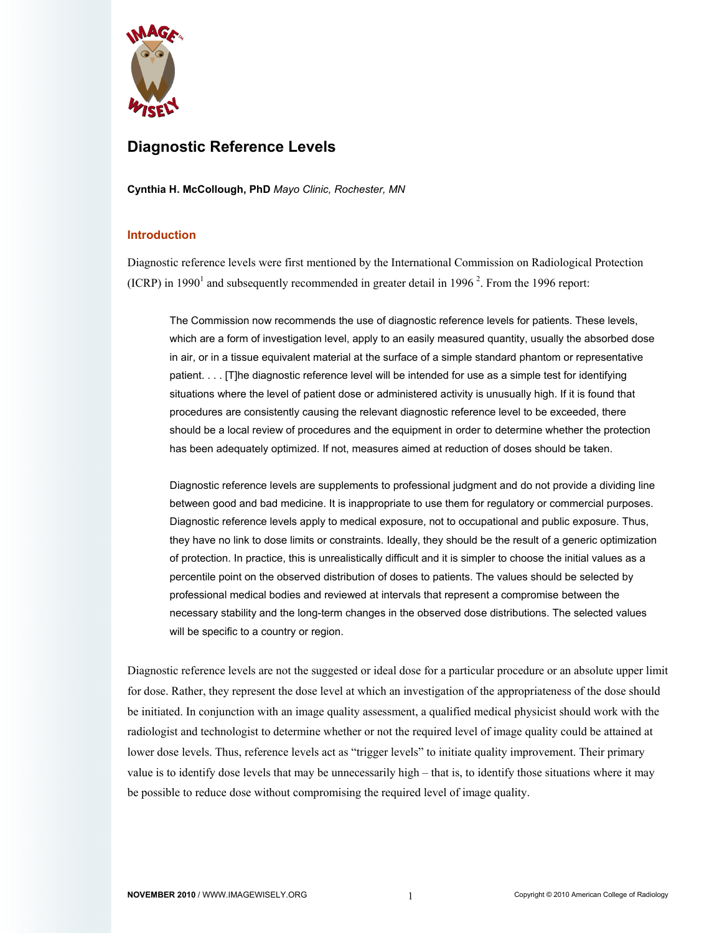

# **Diagnostic Reference Levels**

**Cynthia H. McCollough, PhD** *Mayo Clinic, Rochester, MN*

#### **Introduction**

Diagnostic reference levels were first mentioned by the International Commission on Radiological Protection (ICRP) in 1990<sup>1</sup> and subsequently recommended in greater detail in 1996<sup>2</sup>. From the 1996 report:

The Commission now recommends the use of diagnostic reference levels for patients. These levels, which are a form of investigation level, apply to an easily measured quantity, usually the absorbed dose in air, or in a tissue equivalent material at the surface of a simple standard phantom or representative patient. . . . [T]he diagnostic reference level will be intended for use as a simple test for identifying situations where the level of patient dose or administered activity is unusually high. If it is found that procedures are consistently causing the relevant diagnostic reference level to be exceeded, there should be a local review of procedures and the equipment in order to determine whether the protection has been adequately optimized. If not, measures aimed at reduction of doses should be taken.

Diagnostic reference levels are supplements to professional judgment and do not provide a dividing line between good and bad medicine. It is inappropriate to use them for regulatory or commercial purposes. Diagnostic reference levels apply to medical exposure, not to occupational and public exposure. Thus, they have no link to dose limits or constraints. Ideally, they should be the result of a generic optimization of protection. In practice, this is unrealistically difficult and it is simpler to choose the initial values as a percentile point on the observed distribution of doses to patients. The values should be selected by professional medical bodies and reviewed at intervals that represent a compromise between the necessary stability and the long-term changes in the observed dose distributions. The selected values will be specific to a country or region.

Diagnostic reference levels are not the suggested or ideal dose for a particular procedure or an absolute upper limit for dose. Rather, they represent the dose level at which an investigation of the appropriateness of the dose should be initiated. In conjunction with an image quality assessment, a qualified medical physicist should work with the radiologist and technologist to determine whether or not the required level of image quality could be attained at lower dose levels. Thus, reference levels act as "trigger levels" to initiate quality improvement. Their primary value is to identify dose levels that may be unnecessarily high – that is, to identify those situations where it may be possible to reduce dose without compromising the required level of image quality.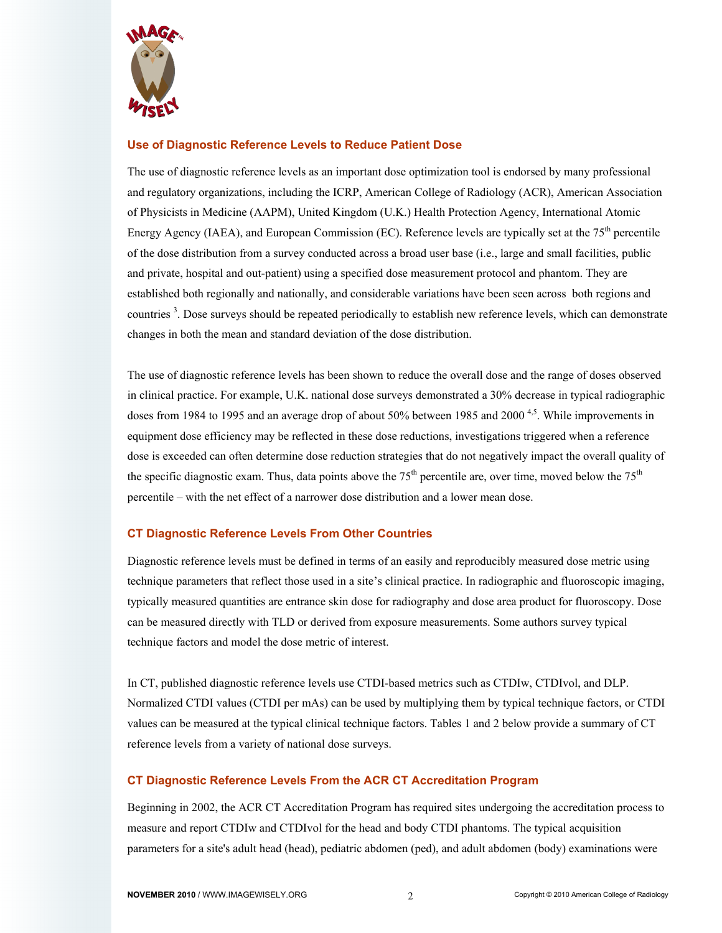

#### **Use of Diagnostic Reference Levels to Reduce Patient Dose**

The use of diagnostic reference levels as an important dose optimization tool is endorsed by many professional and regulatory organizations, including the ICRP, American College of Radiology (ACR), American Association of Physicists in Medicine (AAPM), United Kingdom (U.K.) Health Protection Agency, International Atomic Energy Agency (IAEA), and European Commission (EC). Reference levels are typically set at the 75<sup>th</sup> percentile of the dose distribution from a survey conducted across a broad user base (i.e., large and small facilities, public and private, hospital and out-patient) using a specified dose measurement protocol and phantom. They are established both regionally and nationally, and considerable variations have been seen across both regions and countries<sup>3</sup>. Dose surveys should be repeated periodically to establish new reference levels, which can demonstrate changes in both the mean and standard deviation of the dose distribution.

The use of diagnostic reference levels has been shown to reduce the overall dose and the range of doses observed in clinical practice. For example, U.K. national dose surveys demonstrated a 30% decrease in typical radiographic doses from 1984 to 1995 and an average drop of about 50% between 1985 and 2000<sup>4,5</sup>. While improvements in equipment dose efficiency may be reflected in these dose reductions, investigations triggered when a reference dose is exceeded can often determine dose reduction strategies that do not negatively impact the overall quality of the specific diagnostic exam. Thus, data points above the  $75<sup>th</sup>$  percentile are, over time, moved below the  $75<sup>th</sup>$ percentile – with the net effect of a narrower dose distribution and a lower mean dose.

## **CT Diagnostic Reference Levels From Other Countries**

Diagnostic reference levels must be defined in terms of an easily and reproducibly measured dose metric using technique parameters that reflect those used in a site's clinical practice. In radiographic and fluoroscopic imaging, typically measured quantities are entrance skin dose for radiography and dose area product for fluoroscopy. Dose can be measured directly with TLD or derived from exposure measurements. Some authors survey typical technique factors and model the dose metric of interest.

In CT, published diagnostic reference levels use CTDI-based metrics such as CTDIw, CTDIvol, and DLP. Normalized CTDI values (CTDI per mAs) can be used by multiplying them by typical technique factors, or CTDI values can be measured at the typical clinical technique factors. Tables 1 and 2 below provide a summary of CT reference levels from a variety of national dose surveys.

## **CT Diagnostic Reference Levels From the ACR CT Accreditation Program**

Beginning in 2002, the ACR CT Accreditation Program has required sites undergoing the accreditation process to measure and report CTDIw and CTDIvol for the head and body CTDI phantoms. The typical acquisition parameters for a site's adult head (head), pediatric abdomen (ped), and adult abdomen (body) examinations were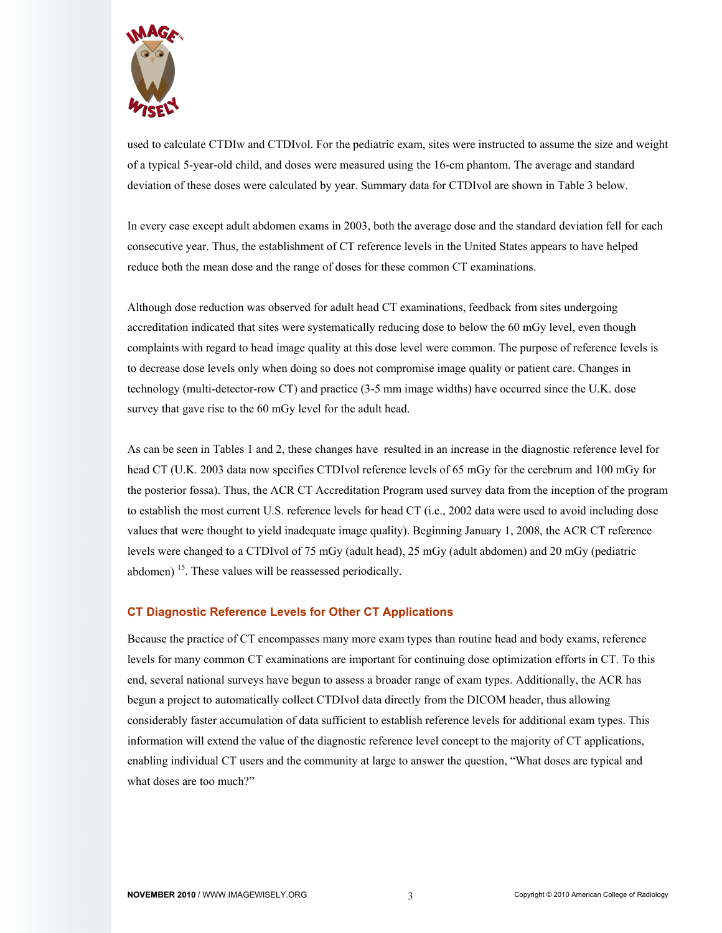

used to calculate CTDIw and CTDIvol. For the pediatric exam, sites were instructed to assume the size and weight of a typical 5-year-old child, and doses were measured using the 16-cm phantom. The average and standard deviation of these doses were calculated by year. Summary data for CTDIvol are shown in Table 3 below.

In every case except adult abdomen exams in 2003, both the average dose and the standard deviation fell for each consecutive year. Thus, the establishment of CT reference levels in the United States appears to have helped reduce both the mean dose and the range of doses for these common CT examinations.

Although dose reduction was observed for adult head CT examinations, feedback from sites undergoing accreditation indicated that sites were systematically reducing dose to below the 60 mGy level, even though complaints with regard to head image quality at this dose level were common. The purpose of reference levels is to decrease dose levels only when doing so does not compromise image quality or patient care. Changes in technology (multi-detector-row CT) and practice (3-5 mm image widths) have occurred since the U.K. dose survey that gave rise to the 60 mGy level for the adult head.

As can be seen in Tables 1 and 2, these changes have resulted in an increase in the diagnostic reference level for head CT (U.K. 2003 data now specifies CTDIvol reference levels of 65 mGy for the cerebrum and 100 mGy for the posterior fossa). Thus, the ACR CT Accreditation Program used survey data from the inception of the program to establish the most current U.S. reference levels for head CT (i.e., 2002 data were used to avoid including dose values that were thought to yield inadequate image quality). Beginning January 1, 2008, the ACR CT reference levels were changed to a CTDIvol of 75 mGy (adult head), 25 mGy (adult abdomen) and 20 mGy (pediatric abdomen)<sup>15</sup>. These values will be reassessed periodically.

#### **CT Diagnostic Reference Levels for Other CT Applications**

Because the practice of CT encompasses many more exam types than routine head and body exams, reference levels for many common CT examinations are important for continuing dose optimization efforts in CT. To this end, several national surveys have begun to assess a broader range of exam types. Additionally, the ACR has begun a project to automatically collect CTDIvol data directly from the DICOM header, thus allowing considerably faster accumulation of data sufficient to establish reference levels for additional exam types. This information will extend the value of the diagnostic reference level concept to the majority of CT applications, enabling individual CT users and the community at large to answer the question, "What doses are typical and what doses are too much?"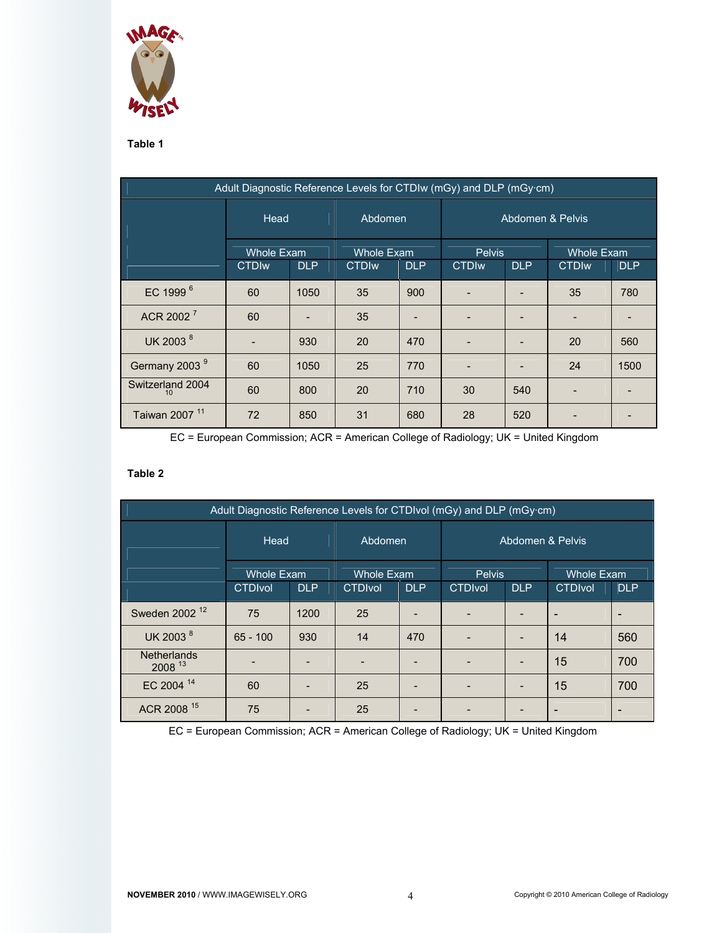

## **Table 1**

| Adult Diagnostic Reference Levels for CTDIw (mGy) and DLP (mGy·cm) |                           |            |                   |            |                          |            |                   |            |  |
|--------------------------------------------------------------------|---------------------------|------------|-------------------|------------|--------------------------|------------|-------------------|------------|--|
|                                                                    | Head<br><b>Whole Exam</b> |            | Abdomen           |            | Abdomen & Pelvis         |            |                   |            |  |
|                                                                    |                           |            | <b>Whole Exam</b> |            | <b>Pelvis</b>            |            | <b>Whole Exam</b> |            |  |
|                                                                    | <b>CTDIw</b>              | <b>DLP</b> | <b>CTDIw</b>      | <b>DLP</b> | <b>CTDIw</b>             | <b>DLP</b> | <b>CTDIw</b>      | <b>DLP</b> |  |
| EC 1999 <sup>6</sup>                                               | 60                        | 1050       | 35                | 900        |                          |            | 35                | 780        |  |
| ACR 2002 <sup>7</sup>                                              | 60                        |            | 35                |            |                          |            |                   |            |  |
| UK 2003 <sup>8</sup>                                               | $\overline{\phantom{0}}$  | 930        | 20                | 470        | $\overline{\phantom{a}}$ |            | 20                | 560        |  |
| Germany 2003 <sup>9</sup>                                          | 60                        | 1050       | 25                | 770        |                          |            | 24                | 1500       |  |
| Switzerland 2004                                                   | 60                        | 800        | 20                | 710        | 30                       | 540        |                   |            |  |
| Taiwan 2007 <sup>11</sup>                                          | 72                        | 850        | 31                | 680        | 28                       | 520        |                   |            |  |

EC = European Commission; ACR = American College of Radiology; UK = United Kingdom

## **Table 2**

| Adult Diagnostic Reference Levels for CTDIvol (mGy) and DLP (mGy·cm) |                   |            |                   |            |                  |            |                |            |  |
|----------------------------------------------------------------------|-------------------|------------|-------------------|------------|------------------|------------|----------------|------------|--|
|                                                                      | Head              |            | Abdomen           |            | Abdomen & Pelvis |            |                |            |  |
|                                                                      | <b>Whole Exam</b> |            | <b>Whole Exam</b> |            | <b>Pelvis</b>    |            | Whole Exam     |            |  |
|                                                                      | <b>CTDIvol</b>    | <b>DLP</b> | <b>CTDIvol</b>    | <b>DLP</b> | <b>CTDIvol</b>   | <b>DLP</b> | <b>CTDIvol</b> | <b>DLP</b> |  |
| Sweden 2002 <sup>12</sup>                                            | 75                | 1200       | 25                |            |                  |            |                |            |  |
| UK 2003 <sup>8</sup>                                                 | $65 - 100$        | 930        | 14                | 470        |                  |            | 14             | 560        |  |
| <b>Netherlands</b><br>2008 13                                        |                   |            |                   |            |                  |            | 15             | 700        |  |
| EC 2004 <sup>14</sup>                                                | 60                |            | 25                |            |                  |            | 15             | 700        |  |
| ACR 2008 <sup>15</sup>                                               | 75                |            | 25                |            |                  |            |                |            |  |

EC = European Commission; ACR = American College of Radiology; UK = United Kingdom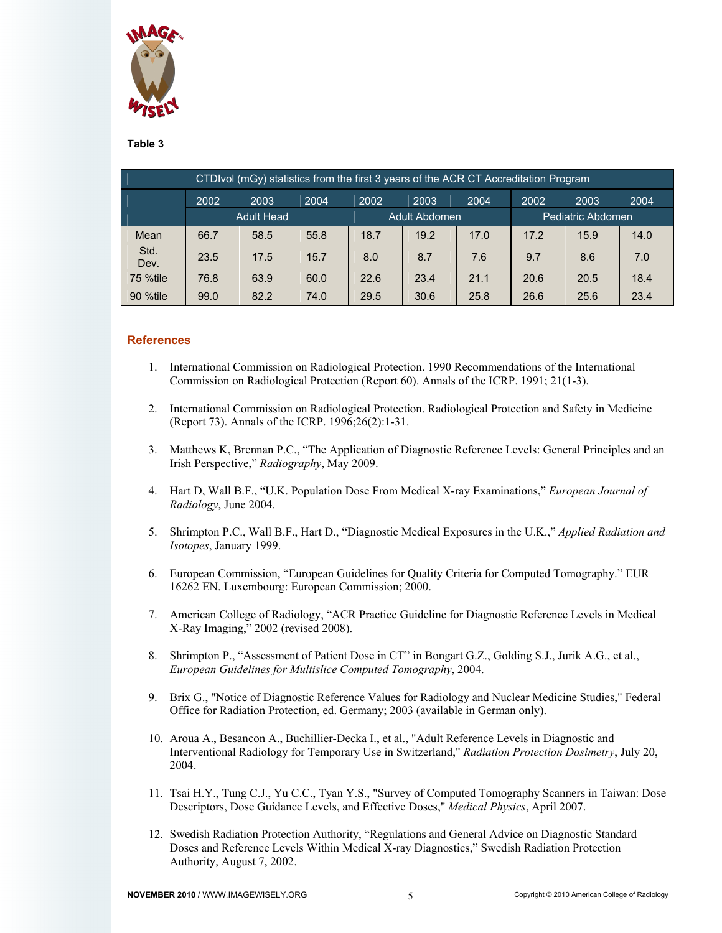

## **Table 3**

| CTDIvol (mGy) statistics from the first 3 years of the ACR CT Accreditation Program |                   |      |      |               |      |      |                   |      |      |
|-------------------------------------------------------------------------------------|-------------------|------|------|---------------|------|------|-------------------|------|------|
|                                                                                     | 2002              | 2003 | 2004 | 2002          | 2003 | 2004 | 2002              | 2003 | 2004 |
|                                                                                     | <b>Adult Head</b> |      |      | Adult Abdomen |      |      | Pediatric Abdomen |      |      |
| Mean                                                                                | 66.7              | 58.5 | 55.8 | 18.7          | 19.2 | 17.0 | 17.2              | 15.9 | 14.0 |
| Std.<br>Dev.                                                                        | 23.5              | 17.5 | 15.7 | 8.0           | 8.7  | 7.6  | 9.7               | 8.6  | 7.0  |
| 75 %tile                                                                            | 76.8              | 63.9 | 60.0 | 22.6          | 23.4 | 21.1 | 20.6              | 20.5 | 18.4 |
| 90 %tile                                                                            | 99.0              | 82.2 | 74.0 | 29.5          | 30.6 | 25.8 | 26.6              | 25.6 | 23.4 |

## **References**

- 1. International Commission on Radiological Protection. 1990 Recommendations of the International Commission on Radiological Protection (Report 60). Annals of the ICRP. 1991; 21(1-3).
- 2. International Commission on Radiological Protection. Radiological Protection and Safety in Medicine (Report 73). Annals of the ICRP. 1996;26(2):1-31.
- 3. Matthews K, Brennan P.C., "The Application of Diagnostic Reference Levels: General Principles and an Irish Perspective," *Radiography*, May 2009.
- 4. Hart D, Wall B.F., "U.K. Population Dose From Medical X-ray Examinations," *European Journal of Radiology*, June 2004.
- 5. Shrimpton P.C., Wall B.F., Hart D., "Diagnostic Medical Exposures in the U.K.," *Applied Radiation and Isotopes*, January 1999.
- 6. European Commission, "European Guidelines for Quality Criteria for Computed Tomography." EUR 16262 EN. Luxembourg: European Commission; 2000.
- 7. American College of Radiology, "ACR Practice Guideline for Diagnostic Reference Levels in Medical X-Ray Imaging," 2002 (revised 2008).
- 8. Shrimpton P., "Assessment of Patient Dose in CT" in Bongart G.Z., Golding S.J., Jurik A.G., et al., *European Guidelines for Multislice Computed Tomography*, 2004.
- 9. Brix G., "Notice of Diagnostic Reference Values for Radiology and Nuclear Medicine Studies," Federal Office for Radiation Protection, ed. Germany; 2003 (available in German only).
- 10. Aroua A., Besancon A., Buchillier-Decka I., et al., "Adult Reference Levels in Diagnostic and Interventional Radiology for Temporary Use in Switzerland," *Radiation Protection Dosimetry*, July 20, 2004.
- 11. Tsai H.Y., Tung C.J., Yu C.C., Tyan Y.S., "Survey of Computed Tomography Scanners in Taiwan: Dose Descriptors, Dose Guidance Levels, and Effective Doses," *Medical Physics*, April 2007.
- 12. Swedish Radiation Protection Authority, "Regulations and General Advice on Diagnostic Standard Doses and Reference Levels Within Medical X-ray Diagnostics," Swedish Radiation Protection Authority, August 7, 2002.